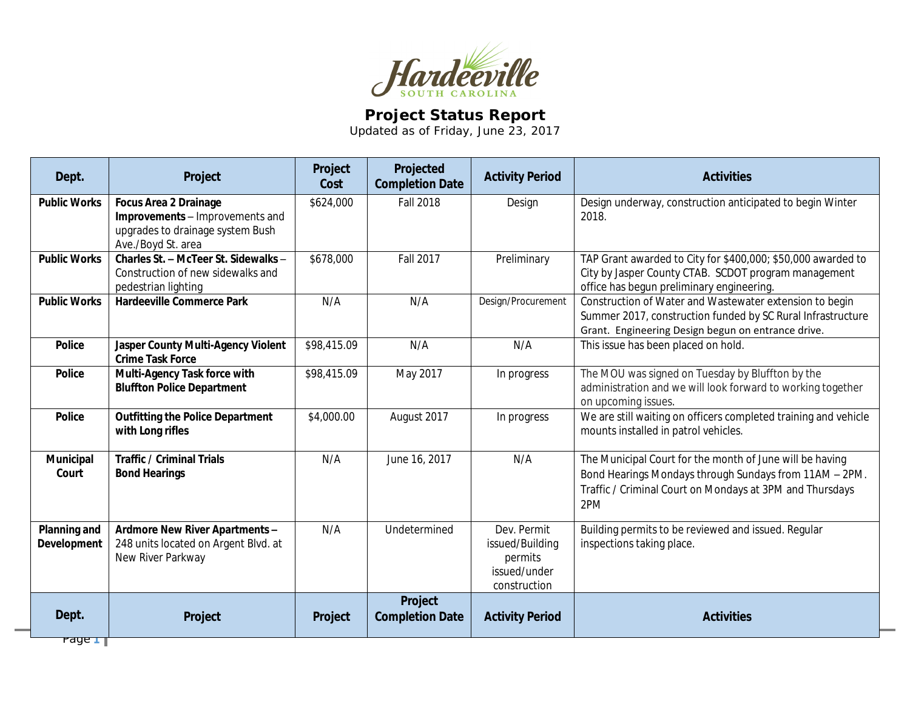

## **Project Status Report**

Updated as of Friday, June 23, 2017

| Dept.                                     | Project                                                                                                                   | Project<br>Cost | Projected<br><b>Completion Date</b> | <b>Activity Period</b>                                                    | <b>Activities</b>                                                                                                                                                                     |
|-------------------------------------------|---------------------------------------------------------------------------------------------------------------------------|-----------------|-------------------------------------|---------------------------------------------------------------------------|---------------------------------------------------------------------------------------------------------------------------------------------------------------------------------------|
| <b>Public Works</b>                       | <b>Focus Area 2 Drainage</b><br>Improvements - Improvements and<br>upgrades to drainage system Bush<br>Ave./Boyd St. area | \$624,000       | <b>Fall 2018</b>                    | Design                                                                    | Design underway, construction anticipated to begin Winter<br>2018.                                                                                                                    |
| <b>Public Works</b>                       | Charles St. - McTeer St. Sidewalks -<br>Construction of new sidewalks and<br>pedestrian lighting                          | \$678,000       | <b>Fall 2017</b>                    | Preliminary                                                               | TAP Grant awarded to City for \$400,000; \$50,000 awarded to<br>City by Jasper County CTAB. SCDOT program management<br>office has begun preliminary engineering.                     |
| <b>Public Works</b>                       | <b>Hardeeville Commerce Park</b>                                                                                          | N/A             | N/A                                 | Design/Procurement                                                        | Construction of Water and Wastewater extension to begin<br>Summer 2017, construction funded by SC Rural Infrastructure<br>Grant. Engineering Design begun on entrance drive.          |
| <b>Police</b>                             | <b>Jasper County Multi-Agency Violent</b><br><b>Crime Task Force</b>                                                      | \$98,415.09     | N/A                                 | N/A                                                                       | This issue has been placed on hold.                                                                                                                                                   |
| <b>Police</b>                             | Multi-Agency Task force with<br><b>Bluffton Police Department</b>                                                         | \$98,415.09     | May 2017                            | In progress                                                               | The MOU was signed on Tuesday by Bluffton by the<br>administration and we will look forward to working together<br>on upcoming issues.                                                |
| <b>Police</b>                             | <b>Outfitting the Police Department</b><br>with Long rifles                                                               | \$4,000.00      | August 2017                         | In progress                                                               | We are still waiting on officers completed training and vehicle<br>mounts installed in patrol vehicles.                                                                               |
| Municipal<br>Court                        | <b>Traffic / Criminal Trials</b><br><b>Bond Hearings</b>                                                                  | N/A             | June 16, 2017                       | N/A                                                                       | The Municipal Court for the month of June will be having<br>Bond Hearings Mondays through Sundays from 11AM - 2PM.<br>Traffic / Criminal Court on Mondays at 3PM and Thursdays<br>2PM |
| <b>Planning and</b><br><b>Development</b> | Ardmore New River Apartments -<br>248 units located on Argent Blvd. at<br>New River Parkway                               | N/A             | Undetermined                        | Dev. Permit<br>issued/Building<br>permits<br>issued/under<br>construction | Building permits to be reviewed and issued. Regular<br>inspections taking place.                                                                                                      |
| Dept.<br>Pano                             | Project                                                                                                                   | Project         | Project<br><b>Completion Date</b>   | <b>Activity Period</b>                                                    | <b>Activities</b>                                                                                                                                                                     |

Page **1**